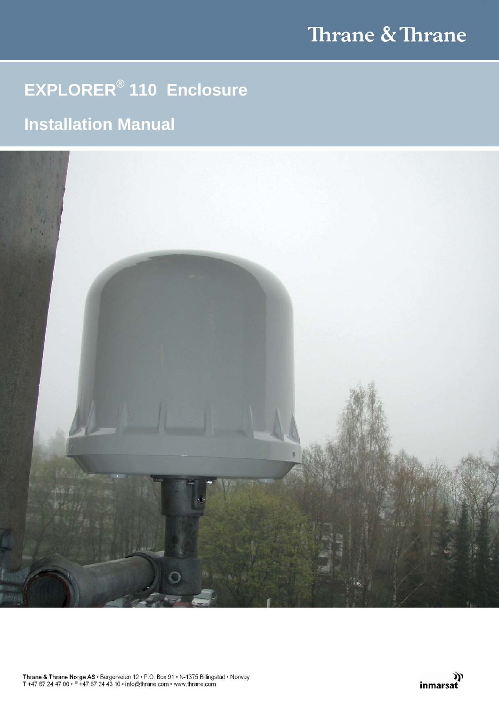# **EXPLORER**® **110 Enclosure**

### **Installation Manual**



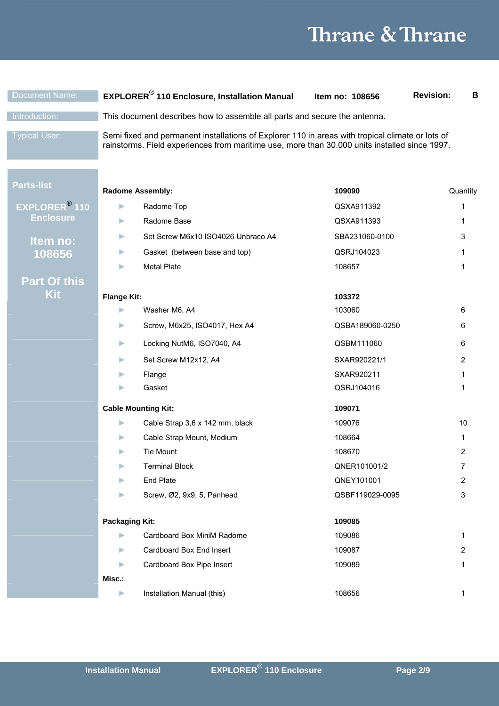### Document Name: **EXPLORER**® **110 Enclosure, Installation Manual Item no: 108656 Revision: B**

Introduction: This document describes how to assemble all parts and secure the antenna.

Typical User: Semi fixed and permanent installations of Explorer 110 in areas with tropical climate or lots of rainstorms. Field experiences from maritime use, more than 30.000 units installed since 1997.

| <b>Parts-list</b>         | <b>Radome Assembly:</b>    |                                    | 109090          | Quantity                       |
|---------------------------|----------------------------|------------------------------------|-----------------|--------------------------------|
| EXPLORER <sup>®</sup> 110 | ь                          | Radome Top                         | QSXA911392      | 1                              |
| <b>Enclosure</b>          | Þ                          | Radome Base                        | QSXA911393      | 1                              |
| Item no:                  | Þ                          | Set Screw M6x10 ISO4026 Unbraco A4 | SBA231060-0100  | $\mathbf{3}$                   |
| 108656                    | Þ                          | Gasket (between base and top)      | QSRJ104023      | $\mathbf{1}$                   |
|                           | Þ                          | <b>Metal Plate</b>                 | 108657          | $\mathbf{1}$                   |
| Part Of this              |                            |                                    |                 |                                |
| <b>Kit</b>                | <b>Flange Kit:</b>         |                                    | 103372          |                                |
|                           | Þ                          | Washer M6, A4                      | 103060          | 6                              |
|                           | Þ                          | Screw, M6x25, ISO4017, Hex A4      | QSBA189060-0250 | 6                              |
|                           | Þ                          | Locking NutM6, ISO7040, A4         | QSBM111060      | 6                              |
|                           | Þ                          | Set Screw M12x12, A4               | SXAR920221/1    | $\overline{2}$                 |
|                           | ▶                          | Flange                             | SXAR920211      | 1                              |
|                           | Þ                          | Gasket                             | QSRJ104016      | $\mathbf{1}$                   |
|                           | <b>Cable Mounting Kit:</b> |                                    | 109071          |                                |
|                           | ь                          | Cable Strap 3,6 x 142 mm, black    | 109076          | 10                             |
|                           | Þ                          | Cable Strap Mount, Medium          | 108664          | $\mathbf{1}$                   |
|                           | Þ                          | Tie Mount                          | 108670          | $\overline{2}$                 |
|                           | Þ                          | <b>Terminal Block</b>              | QNER101001/2    | 7                              |
|                           | Þ                          | <b>End Plate</b>                   | QNEY101001      | $\overline{2}$                 |
|                           | Þ                          | Screw, Ø2, 9x9, 5, Panhead         | QSBF119029-0095 | 3                              |
|                           |                            |                                    |                 |                                |
|                           | <b>Packaging Kit:</b>      |                                    | 109085          |                                |
|                           | ь                          | Cardboard Box MiniM Radome         | 109086          | $\mathbf 1$                    |
|                           | Þ<br>ь                     | Cardboard Box End Insert           | 109087          | $\overline{2}$<br>$\mathbf{1}$ |
|                           | Misc.:                     | Cardboard Box Pipe Insert          | 109089          |                                |
|                           | Þ                          | Installation Manual (this)         | 108656          | 1                              |
|                           |                            |                                    |                 |                                |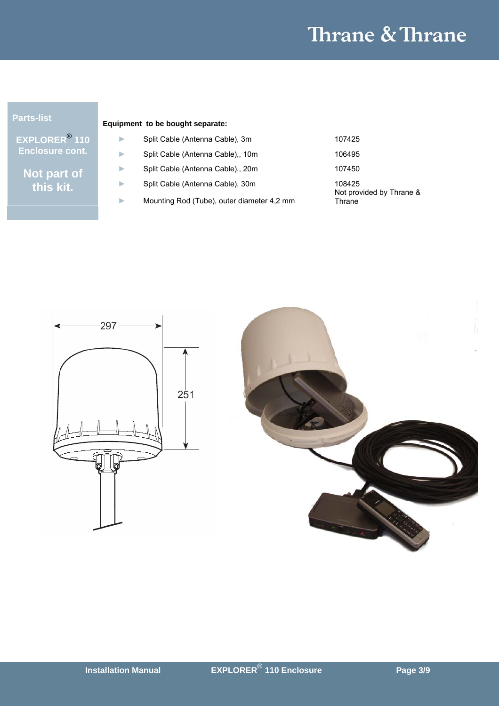### **Parts-list**

#### **Equipment to be bought separate:**

### **EXPLORER**® **110 Enclosure cont.**

### **Not part of this kit.**

| Þ                     | Split Cable (Antenna Cable), 3m            | 107425                             |
|-----------------------|--------------------------------------------|------------------------------------|
| Þ                     | Split Cable (Antenna Cable), 10m           | 106495                             |
| $\geq$                | Split Cable (Antenna Cable), 20m           | 107450                             |
| $\blacktriangleright$ | Split Cable (Antenna Cable), 30m           | 108425                             |
| Þ                     | Mounting Rod (Tube), outer diameter 4,2 mm | Not provided by Thrane &<br>Thrane |



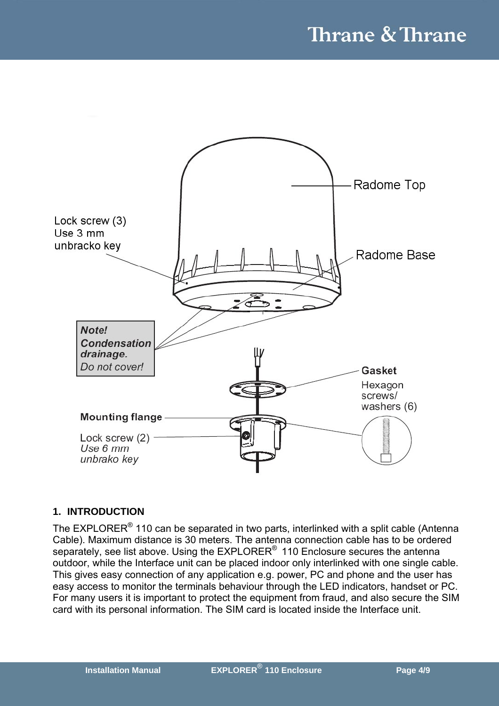

### **1. INTRODUCTION**

The EXPLORER<sup>®</sup> 110 can be separated in two parts, interlinked with a split cable (Antenna Cable). Maximum distance is 30 meters. The antenna connection cable has to be ordered separately, see list above. Using the EXPLORER<sup>®</sup> 110 Enclosure secures the antenna outdoor, while the Interface unit can be placed indoor only interlinked with one single cable. This gives easy connection of any application e.g. power, PC and phone and the user has easy access to monitor the terminals behaviour through the LED indicators, handset or PC. For many users it is important to protect the equipment from fraud, and also secure the SIM card with its personal information. The SIM card is located inside the Interface unit.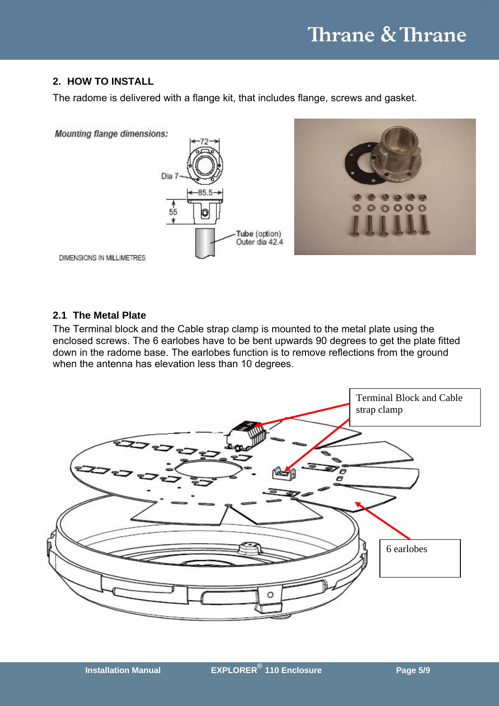### **2. HOW TO INSTALL**

The radome is delivered with a flange kit, that includes flange, screws and gasket.

![](_page_4_Figure_3.jpeg)

### **2.1 The Metal Plate**

The Terminal block and the Cable strap clamp is mounted to the metal plate using the enclosed screws. The 6 earlobes have to be bent upwards 90 degrees to get the plate fitted down in the radome base. The earlobes function is to remove reflections from the ground when the antenna has elevation less than 10 degrees.

![](_page_4_Figure_6.jpeg)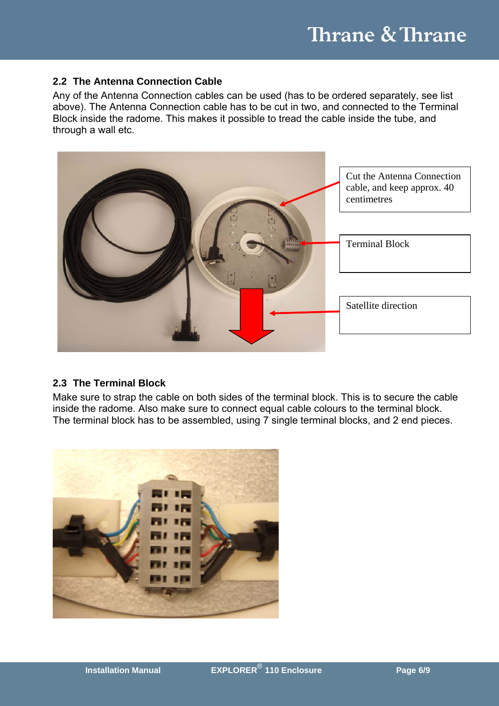### **2.2 The Antenna Connection Cable**

Any of the Antenna Connection cables can be used (has to be ordered separately, see list above). The Antenna Connection cable has to be cut in two, and connected to the Terminal Block inside the radome. This makes it possible to tread the cable inside the tube, and through a wall etc.

![](_page_5_Picture_3.jpeg)

### **2.3 The Terminal Block**

Make sure to strap the cable on both sides of the terminal block. This is to secure the cable inside the radome. Also make sure to connect equal cable colours to the terminal block. The terminal block has to be assembled, using 7 single terminal blocks, and 2 end pieces.

![](_page_5_Picture_6.jpeg)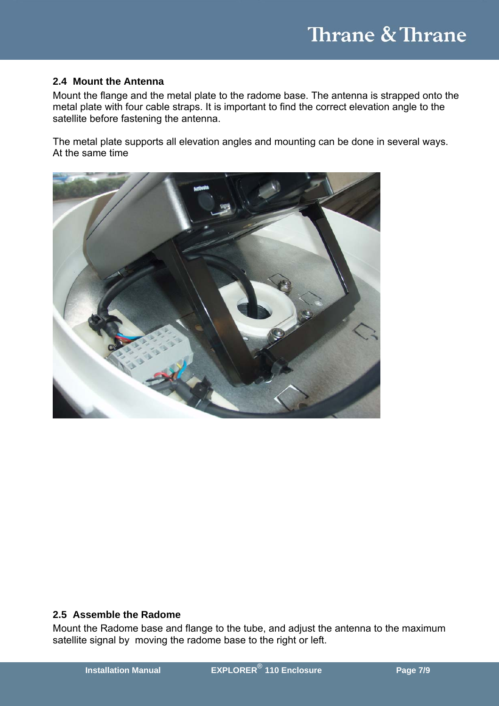### **2.4 Mount the Antenna**

Mount the flange and the metal plate to the radome base. The antenna is strapped onto the metal plate with four cable straps. It is important to find the correct elevation angle to the satellite before fastening the antenna.

The metal plate supports all elevation angles and mounting can be done in several ways. At the same time

![](_page_6_Picture_4.jpeg)

### **2.5 Assemble the Radome**

Mount the Radome base and flange to the tube, and adjust the antenna to the maximum satellite signal by moving the radome base to the right or left.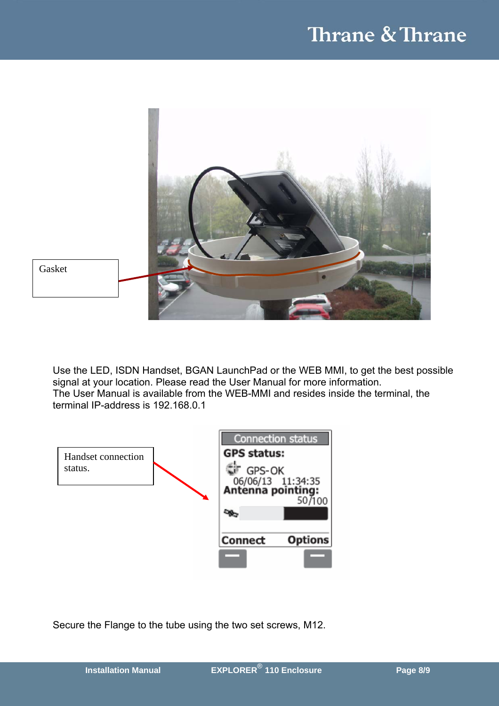![](_page_7_Picture_1.jpeg)

Use the LED, ISDN Handset, BGAN LaunchPad or the WEB MMI, to get the best possible signal at your location. Please read the User Manual for more information. The User Manual is available from the WEB-MMI and resides inside the terminal, the terminal IP-address is 192.168.0.1

![](_page_7_Figure_3.jpeg)

Secure the Flange to the tube using the two set screws, M12.